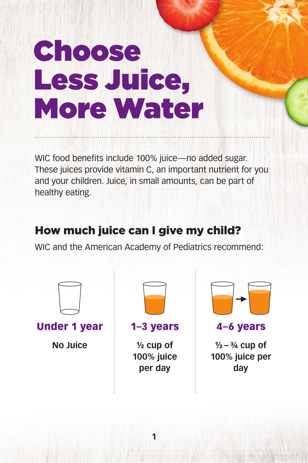# Choose Less Juice, More Water

WIC food benefits include 100% juice—no added sugar. These juices provide vitamin C, an important nutrient for you and your children. Juice, in small amounts, can be part of healthy eating.

## How much juice can I give my child?

WIC and the American Academy of Pediatrics recommend:

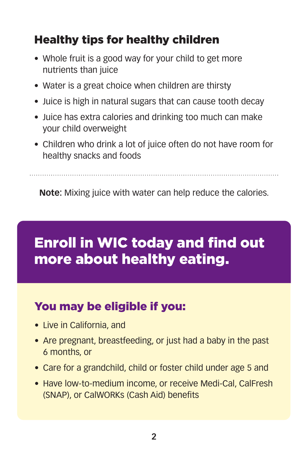## Healthy tips for healthy children

- Whole fruit is a good way for your child to get more nutrients than juice
- Water is a great choice when children are thirsty
- Juice is high in natural sugars that can cause tooth decay
- Juice has extra calories and drinking too much can make your child overweight
- Children who drink a lot of juice often do not have room for healthy snacks and foods

**Note:** Mixing juice with water can help reduce the calories.

## Enroll in WIC today and find out more about healthy eating.

## You may be eligible if you:

- Live in California, and
- Are pregnant, breastfeeding, or just had a baby in the past 6 months, or
- Care for a grandchild, child or foster child under age 5 and
- Have low-to-medium income, or receive Medi-Cal, CalFresh (SNAP), or CalWORKs (Cash Aid) benefits